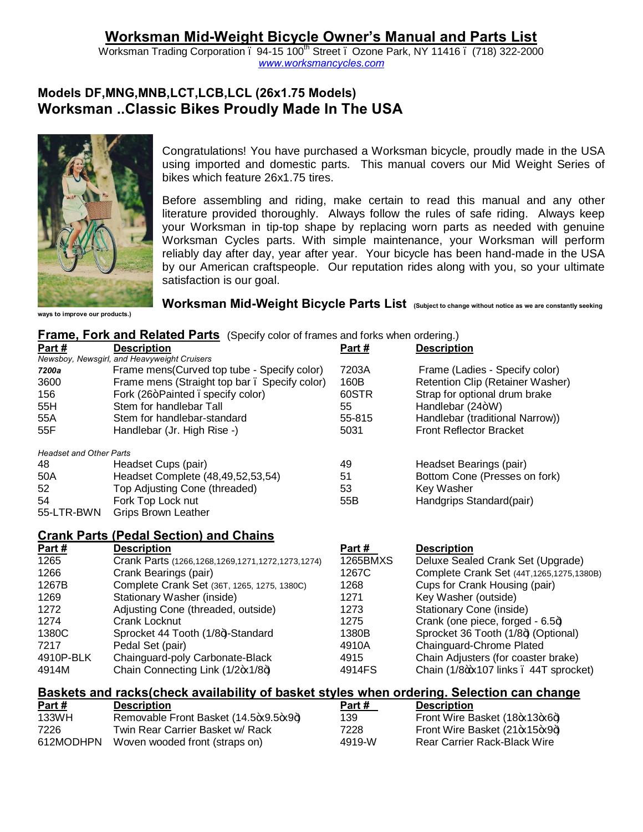# **Worksman Mid-Weight Bicycle Owner's Manual and Parts List**

Worksman Trading Corporation . 94-15 100<sup>th</sup> Street . Ozone Park, NY 11416 . (718) 322-2000 *www.worksmancycles.com*

# **Models DF,MNG,MNB,LCT,LCB,LCL (26x1.75 Models) Worksman ..Classic Bikes Proudly Made In The USA**



Congratulations! You have purchased a Worksman bicycle, proudly made in the USA using imported and domestic parts. This manual covers our Mid Weight Series of bikes which feature 26x1.75 tires.

Before assembling and riding, make certain to read this manual and any other literature provided thoroughly. Always follow the rules of safe riding. Always keep your Worksman in tip-top shape by replacing worn parts as needed with genuine Worksman Cycles parts. With simple maintenance, your Worksman will perform reliably day after day, year after year. Your bicycle has been hand-made in the USA by our American craftspeople. Our reputation rides along with you, so your ultimate satisfaction is our goal.

**ways to improve our products.)**

Worksman Mid-Weight Bicycle Parts List (Subject to change without notice as we are constantly seeking

|  | <b>Frame, Fork and Related Parts</b> (Specify color of frames and forks when ordering.) |
|--|-----------------------------------------------------------------------------------------|
|--|-----------------------------------------------------------------------------------------|

| Part#                          | <b>Description</b>                                                                        | Part #   | <b>Description</b>                          |
|--------------------------------|-------------------------------------------------------------------------------------------|----------|---------------------------------------------|
|                                | Newsboy, Newsgirl, and Heavyweight Cruisers                                               |          |                                             |
| 7200a                          | Frame mens(Curved top tube - Specify color)                                               | 7203A    | Frame (Ladies - Specify color)              |
| 3600                           | Frame mens (Straight top bar. Specify color)                                              | 160B     | Retention Clip (Retainer Washer)            |
| 156                            | Fork (26+Painted . specify color)                                                         | 60STR    | Strap for optional drum brake               |
| 55H                            | Stem for handlebar Tall                                                                   | 55       | Handlebar (24+W)                            |
| 55A                            | Stem for handlebar-standard                                                               | 55-815   | Handlebar (traditional Narrow))             |
| 55F                            | Handlebar (Jr. High Rise -)                                                               | 5031     | <b>Front Reflector Bracket</b>              |
| <b>Headset and Other Parts</b> |                                                                                           |          |                                             |
| 48                             | Headset Cups (pair)                                                                       | 49       | Headset Bearings (pair)                     |
| 50A                            | Headset Complete (48,49,52,53,54)                                                         | 51       | Bottom Cone (Presses on fork)               |
| 52                             | Top Adjusting Cone (threaded)                                                             | 53       | Key Washer                                  |
| 54                             | Fork Top Lock nut                                                                         | 55B      | Handgrips Standard(pair)                    |
| 55-LTR-BWN                     | <b>Grips Brown Leather</b>                                                                |          |                                             |
|                                | <b>Crank Parts (Pedal Section) and Chains</b>                                             |          |                                             |
| Part#                          | <b>Description</b>                                                                        | Part#    | <b>Description</b>                          |
| 1265                           | Crank Parts (1266, 1268, 1269, 1271, 1272, 1273, 1274)                                    | 1265BMXS | Deluxe Sealed Crank Set (Upgrade)           |
| 1266                           | Crank Bearings (pair)                                                                     | 1267C    | Complete Crank Set (44T, 1265, 1275, 1380B) |
| 1267B                          | Complete Crank Set (36T, 1265, 1275, 1380C)                                               | 1268     | Cups for Crank Housing (pair)               |
| 1269                           | Stationary Washer (inside)                                                                | 1271     | Key Washer (outside)                        |
| 1272                           | Adjusting Cone (threaded, outside)                                                        | 1273     | Stationary Cone (inside)                    |
| 1274                           | <b>Crank Locknut</b>                                                                      | 1275     | Crank (one piece, forged - 6.5+)            |
| 1380C                          | Sprocket 44 Tooth (1/8+)-Standard                                                         | 1380B    | Sprocket 36 Tooth (1/8+) (Optional)         |
| 7217                           | Pedal Set (pair)                                                                          | 4910A    | Chainguard-Chrome Plated                    |
| 4910P-BLK                      | Chainguard-poly Carbonate-Black                                                           | 4915     | Chain Adjusters (for coaster brake)         |
| 4914M                          | Chain Connecting Link (1/2+x1/8+)                                                         | 4914FS   | Chain (1/8+x107 links . 44T sprocket)       |
|                                | Baskets and racks(check availability of basket styles when ordering. Selection can change |          |                                             |
| Part#                          | <b>Description</b>                                                                        | Part#    | <b>Description</b>                          |
| 133WH                          | Removable Front Basket (14.5 x 9.5 x 9 +)                                                 | 139      | Front Wire Basket (18+x13+x6+)              |

7226 Twin Rear Carrier Basket w/ Rack 7228 Front Wire Basket (21 $\star$ 15 $\star$ 9 $\star$ ) 612MODHPN Woven wooded front (straps on) 4919-W Rear Carrier Rack-Black Wire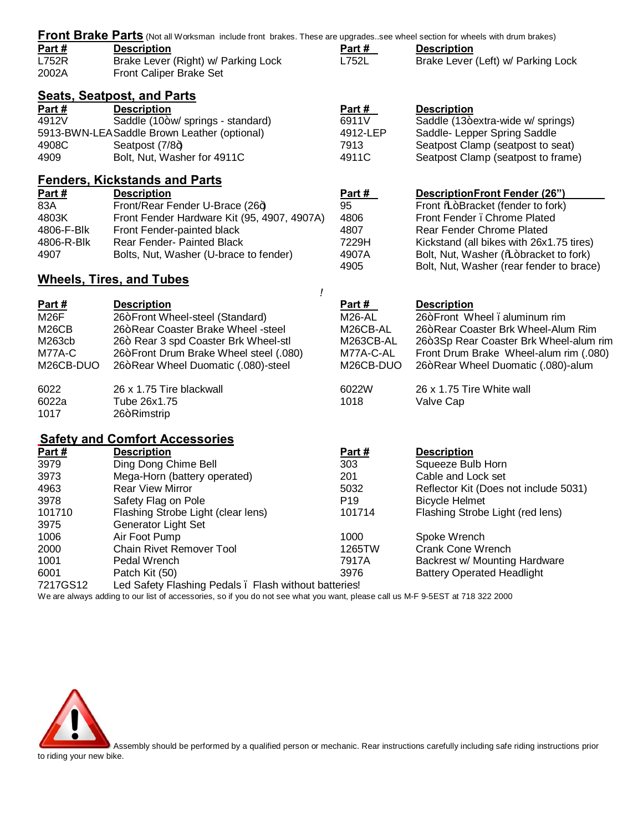|                    | Front Brake Parts (Not all Worksman include front brakes. These are upgradessee wheel section for wheels with drum brakes) |                 |                                          |
|--------------------|----------------------------------------------------------------------------------------------------------------------------|-----------------|------------------------------------------|
| Part#              | <b>Description</b>                                                                                                         | Part #          | <b>Description</b>                       |
| <b>L752R</b>       | Brake Lever (Right) w/ Parking Lock                                                                                        | L752L           | Brake Lever (Left) w/ Parking Lock       |
| 2002A              | Front Caliper Brake Set                                                                                                    |                 |                                          |
|                    | <b>Seats, Seatpost, and Parts</b>                                                                                          |                 |                                          |
| <u>Part #</u>      | <b>Description</b>                                                                                                         | <u>Part #</u>   | <b>Description</b>                       |
| 4912V              | Saddle (10+w/ springs - standard)                                                                                          | 6911V           | Saddle (13+extra-wide w/ springs)        |
|                    | 5913-BWN-LEA Saddle Brown Leather (optional)                                                                               | 4912-LEP        | Saddle- Lepper Spring Saddle             |
| 4908C              | Seatpost $(7/8+)$                                                                                                          | 7913            | Seatpost Clamp (seatpost to seat)        |
| 4909               | Bolt, Nut, Washer for 4911C                                                                                                | 4911C           | Seatpost Clamp (seatpost to frame)       |
|                    | <b>Fenders, Kickstands and Parts</b>                                                                                       |                 |                                          |
| Part#              | <b>Description</b>                                                                                                         | Part #          | <b>DescriptionFront Fender (26")</b>     |
| 83A                | Front/Rear Fender U-Brace (26+)                                                                                            | 95              | Front % Bracket (fender to fork)         |
| 4803K              | Front Fender Hardware Kit (95, 4907, 4907A)                                                                                | 4806            | Front Fender . Chrome Plated             |
| 4806-F-Blk         | Front Fender-painted black                                                                                                 | 4807            | <b>Rear Fender Chrome Plated</b>         |
| 4806-R-Blk         | Rear Fender- Painted Black                                                                                                 | 7229H           | Kickstand (all bikes with 26x1.75 tires) |
| 4907               | Bolts, Nut, Washer (U-brace to fender)                                                                                     | 4907A           | Bolt, Nut, Washer (‰+bracket to fork)    |
|                    |                                                                                                                            | 4905            | Bolt, Nut, Washer (rear fender to brace) |
|                    | <b>Wheels, Tires, and Tubes</b>                                                                                            |                 |                                          |
|                    | ļ                                                                                                                          |                 |                                          |
| Part #             | <b>Description</b>                                                                                                         | Part #          | <b>Description</b>                       |
| M26F               | 26+Front Wheel-steel (Standard)                                                                                            | <b>M26-AL</b>   | 26+Front Wheel, aluminum rim             |
| M <sub>26</sub> CB | 26+Rear Coaster Brake Wheel -steel                                                                                         | M26CB-AL        | 26+Rear Coaster Brk Wheel-Alum Rim       |
| M263cb             | 26+ Rear 3 spd Coaster Brk Wheel-stl                                                                                       | M263CB-AL       | 26+3Sp Rear Coaster Brk Wheel-alum rim   |
| M77A-C             | 26+Front Drum Brake Wheel steel (.080)                                                                                     | M77A-C-AL       | Front Drum Brake Wheel-alum rim (.080)   |
| M26CB-DUO          | 26+Rear Wheel Duomatic (.080)-steel                                                                                        | M26CB-DUO       | 26+Rear Wheel Duomatic (.080)-alum       |
| 6022               | 26 x 1.75 Tire blackwall                                                                                                   | 6022W           | 26 x 1.75 Tire White wall                |
| 6022a              | Tube 26x1.75                                                                                                               | 1018            | Valve Cap                                |
| 1017               | 26+Rimstrip                                                                                                                |                 |                                          |
|                    | <b>Safety and Comfort Accessories</b>                                                                                      |                 |                                          |
| Part $#$           | <b>Description</b>                                                                                                         | <u>Part #</u>   | <b>Description</b>                       |
| 3979               | Ding Dong Chime Bell                                                                                                       | 303             | Squeeze Bulb Horn                        |
| 3973               | Mega-Horn (battery operated)                                                                                               | 201             | Cable and Lock set                       |
| 4963               | <b>Rear View Mirror</b>                                                                                                    | 5032            | Reflector Kit (Does not include 5031)    |
| 3978               | Safety Flag on Pole                                                                                                        | P <sub>19</sub> | <b>Bicycle Helmet</b>                    |
| 101710             | Flashing Strobe Light (clear lens)                                                                                         | 101714          | Flashing Strobe Light (red lens)         |
| 3975               | <b>Generator Light Set</b>                                                                                                 |                 |                                          |
| 1006               | Air Foot Pump                                                                                                              | 1000            | Spoke Wrench                             |
| 2000               | <b>Chain Rivet Remover Tool</b>                                                                                            | 1265TW          | <b>Crank Cone Wrench</b>                 |
| 1001               | Pedal Wrench                                                                                                               | 7917A           | Backrest w/ Mounting Hardware            |
| 6001               | Patch Kit (50)                                                                                                             | 3976            | <b>Battery Operated Headlight</b>        |
| 7217GS12           | Led Safety Flashing Pedals . Flash without batteries!                                                                      |                 |                                          |

We are always adding to our list of accessories, so if you do not see what you want, please call us M-F 9-5EST at 718 322 2000



Assembly should be performed by a qualified person or mechanic. Rear instructions carefully including safe riding instructions prior to riding your new bike.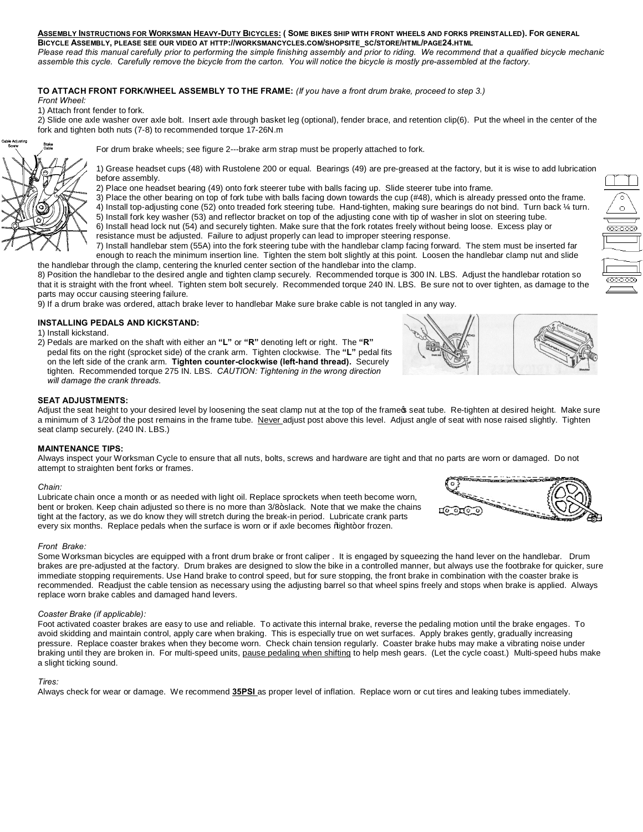# **ASSEMBLY INSTRUCTIONS FOR WORKSMAN HEAVY-DUTY BICYCLES: ( SOME BIKES SHIP WITH FRONT WHEELS AND FORKS PREINSTALLED). FOR GENERAL**

**BICYCLE ASSEMBLY, PLEASE SEE OUR VIDEO AT HTTP://WORKSMANCYCLES.COM/SHOPSITE\_SC/STORE/HTML/PAGE24.HTML** Please read this manual carefully prior to performing the simple finishing assembly and prior to riding. We recommend that a qualified bicycle mechanic *assemble this cycle. Carefully remove the bicycle from the carton. You will notice the bicycle is mostly pre-assembled at the factory.*

# **TO ATTACH FRONT FORK/WHEEL ASSEMBLY TO THE FRAME:** *(If you have a front drum brake, proceed to step 3.)*

*Front Wheel:*

1) Attach front fender to fork.

2) Slide one axle washer over axle bolt. Insert axle through basket leg (optional), fender brace, and retention clip(6). Put the wheel in the center of the fork and tighten both nuts (7-8) to recommended torque 17-26N.m



For drum brake wheels; see figure 2---brake arm strap must be properly attached to fork.

1) Grease headset cups (48) with Rustolene 200 or equal. Bearings (49) are pre-greased at the factory, but it is wise to add lubrication before assembly.

- 2) Place one headset bearing (49) onto fork steerer tube with balls facing up. Slide steerer tube into frame.
- 3) Place the other bearing on top of fork tube with balls facing down towards the cup (#48), which is already pressed onto the frame.
- 4) Install top-adjusting cone (52) onto treaded fork steering tube. Hand-tighten, making sure bearings do not bind. Turn back ¼ turn.
- 5) Install fork key washer (53) and reflector bracket on top of the adjusting cone with tip of washer in slot on steering tube. 6) Install head lock nut (54) and securely tighten. Make sure that the fork rotates freely without being loose. Excess play or
- resistance must be adjusted. Failure to adjust properly can lead to improper steering response.
- 7) Install handlebar stem (55A) into the fork steering tube with the handlebar clamp facing forward. The stem must be inserted far enough to reach the minimum insertion line. Tighten the stem bolt slightly at this point. Loosen the handlebar clamp nut and slide the handlebar through the clamp, centering the knurled center section of the handlebar into the clamp.

8) Position the handlebar to the desired angle and tighten clamp securely. Recommended torque is 300 IN. LBS. Adjust the handlebar rotation so that it is straight with the front wheel. Tighten stem bolt securely. Recommended torque 240 IN. LBS. Be sure not to over tighten, as damage to the parts may occur causing steering failure.

9) If a drum brake was ordered, attach brake lever to handlebar Make sure brake cable is not tangled in any way.

# **INSTALLING PEDALS AND KICKSTAND:**

1) Install kickstand.

2) Pedals are marked on the shaft with either an **"L"** or **"R"** denoting left or right. The **"R"** pedal fits on the right (sprocket side) of the crank arm. Tighten clockwise. The **"L"** pedal fits on the left side of the crank arm. **Tighten counter-clockwise (left-hand thread).** Securely tighten. Recommended torque 275 IN. LBS. *CAUTION: Tightening in the wrong direction will damage the crank threads.* 



#### **SEAT ADJUSTMENTS:**

Adjust the seat height to your desired level by loosening the seat clamp nut at the top of the frame pseat tube. Re-tighten at desired height. Make sure a minimum of 3 1/2+of the post remains in the frame tube. Never adjust post above this level. Adjust angle of seat with nose raised slightly. Tighten seat clamp securely. (240 IN. LBS.)

# **MAINTENANCE TIPS:**

Always inspect your Worksman Cycle to ensure that all nuts, bolts, screws and hardware are tight and that no parts are worn or damaged. Do not attempt to straighten bent forks or frames.

#### *Chain:*

Lubricate chain once a month or as needed with light oil. Replace sprockets when teeth become worn, bent or broken. Keep chain adjusted so there is no more than 3/8+slack. Note that we make the chains tight at the factory, as we do know they will stretch during the break-in period. Lubricate crank parts every six months. Replace pedals when the surface is worn or if axle becomes % ight+or frozen.

# *Front Brake:*

Some Worksman bicycles are equipped with a front drum brake or front caliper . It is engaged by squeezing the hand lever on the handlebar. Drum brakes are pre-adjusted at the factory. Drum brakes are designed to slow the bike in a controlled manner, but always use the footbrake for quicker, sure immediate stopping requirements. Use Hand brake to control speed, but for sure stopping, the front brake in combination with the coaster brake is recommended. Readjust the cable tension as necessary using the adjusting barrel so that wheel spins freely and stops when brake is applied. Always replace worn brake cables and damaged hand levers.

# *Coaster Brake (if applicable):*

Foot activated coaster brakes are easy to use and reliable. To activate this internal brake, reverse the pedaling motion until the brake engages. To avoid skidding and maintain control, apply care when braking. This is especially true on wet surfaces. Apply brakes gently, gradually increasing pressure. Replace coaster brakes when they become worn. Check chain tension regularly. Coaster brake hubs may make a vibrating noise under braking until they are broken in. For multi-speed units, pause pedaling when shifting to help mesh gears. (Let the cycle coast.) Multi-speed hubs make a slight ticking sound.

# *Tires:*

Always check for wear or damage. We recommend **35PSI** as proper level of inflation. Replace worn or cut tires and leaking tubes immediately.